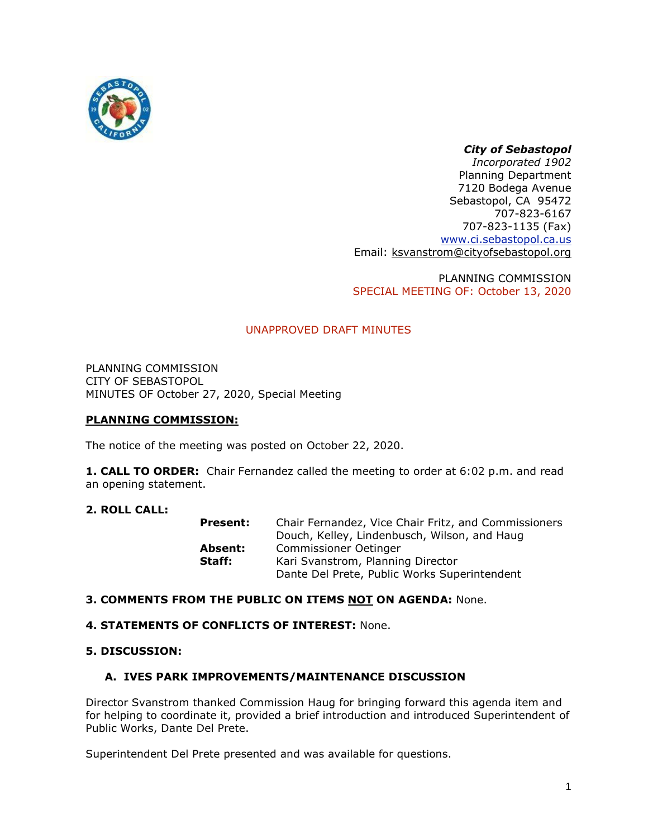

# *City of Sebastopol*

*Incorporated 1902* Planning Department 7120 Bodega Avenue Sebastopol, CA 95472 707-823-6167 707-823-1135 (Fax) [www.ci.sebastopol.ca.us](http://www.ci.sebastopol.ca.us/) Email: [ksvanstrom@cityofsebastopol.org](mailto:ksvanstrom@cityofsebastopol.org)

PLANNING COMMISSION SPECIAL MEETING OF: October 13, 2020

# UNAPPROVED DRAFT MINUTES

PLANNING COMMISSION CITY OF SEBASTOPOL MINUTES OF October 27, 2020, Special Meeting

# **PLANNING COMMISSION:**

The notice of the meeting was posted on October 22, 2020.

**1. CALL TO ORDER:** Chair Fernandez called the meeting to order at 6:02 p.m. and read an opening statement.

### **2. ROLL CALL:**

| Present: | Chair Fernandez, Vice Chair Fritz, and Commissioners |
|----------|------------------------------------------------------|
|          | Douch, Kelley, Lindenbusch, Wilson, and Haug         |
| Absent:  | Commissioner Oetinger                                |
| Staff:   | Kari Svanstrom, Planning Director                    |
|          | Dante Del Prete, Public Works Superintendent         |

### **3. COMMENTS FROM THE PUBLIC ON ITEMS NOT ON AGENDA:** None.

### **4. STATEMENTS OF CONFLICTS OF INTEREST:** None.

### **5. DISCUSSION:**

# **A. IVES PARK IMPROVEMENTS/MAINTENANCE DISCUSSION**

Director Svanstrom thanked Commission Haug for bringing forward this agenda item and for helping to coordinate it, provided a brief introduction and introduced Superintendent of Public Works, Dante Del Prete.

Superintendent Del Prete presented and was available for questions.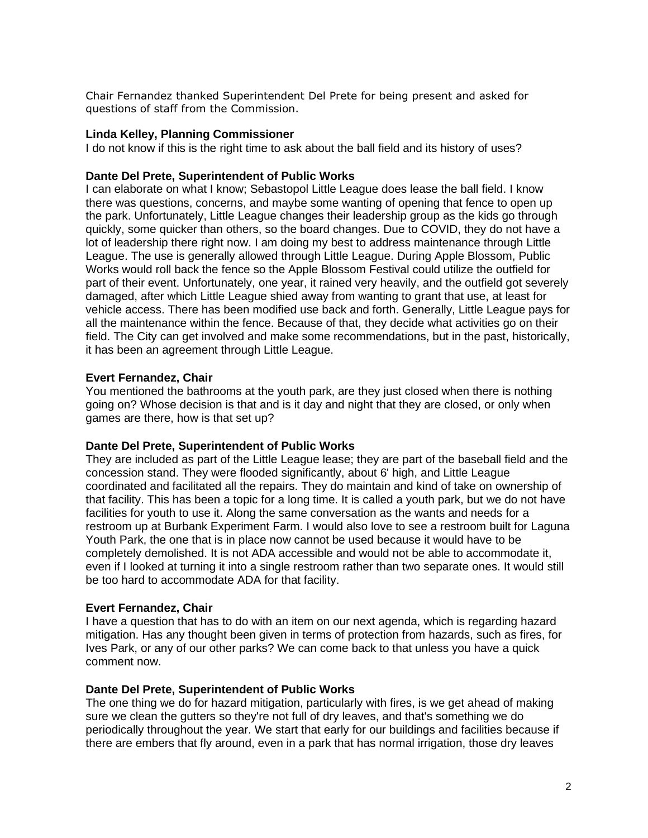Chair Fernandez thanked Superintendent Del Prete for being present and asked for questions of staff from the Commission.

#### **Linda Kelley, Planning Commissioner**

I do not know if this is the right time to ask about the ball field and its history of uses?

#### **Dante Del Prete, Superintendent of Public Works**

I can elaborate on what I know; Sebastopol Little League does lease the ball field. I know there was questions, concerns, and maybe some wanting of opening that fence to open up the park. Unfortunately, Little League changes their leadership group as the kids go through quickly, some quicker than others, so the board changes. Due to COVID, they do not have a lot of leadership there right now. I am doing my best to address maintenance through Little League. The use is generally allowed through Little League. During Apple Blossom, Public Works would roll back the fence so the Apple Blossom Festival could utilize the outfield for part of their event. Unfortunately, one year, it rained very heavily, and the outfield got severely damaged, after which Little League shied away from wanting to grant that use, at least for vehicle access. There has been modified use back and forth. Generally, Little League pays for all the maintenance within the fence. Because of that, they decide what activities go on their field. The City can get involved and make some recommendations, but in the past, historically, it has been an agreement through Little League.

### **Evert Fernandez, Chair**

You mentioned the bathrooms at the youth park, are they just closed when there is nothing going on? Whose decision is that and is it day and night that they are closed, or only when games are there, how is that set up?

#### **Dante Del Prete, Superintendent of Public Works**

They are included as part of the Little League lease; they are part of the baseball field and the concession stand. They were flooded significantly, about 6' high, and Little League coordinated and facilitated all the repairs. They do maintain and kind of take on ownership of that facility. This has been a topic for a long time. It is called a youth park, but we do not have facilities for youth to use it. Along the same conversation as the wants and needs for a restroom up at Burbank Experiment Farm. I would also love to see a restroom built for Laguna Youth Park, the one that is in place now cannot be used because it would have to be completely demolished. It is not ADA accessible and would not be able to accommodate it, even if I looked at turning it into a single restroom rather than two separate ones. It would still be too hard to accommodate ADA for that facility.

#### **Evert Fernandez, Chair**

I have a question that has to do with an item on our next agenda, which is regarding hazard mitigation. Has any thought been given in terms of protection from hazards, such as fires, for Ives Park, or any of our other parks? We can come back to that unless you have a quick comment now.

## **Dante Del Prete, Superintendent of Public Works**

The one thing we do for hazard mitigation, particularly with fires, is we get ahead of making sure we clean the gutters so they're not full of dry leaves, and that's something we do periodically throughout the year. We start that early for our buildings and facilities because if there are embers that fly around, even in a park that has normal irrigation, those dry leaves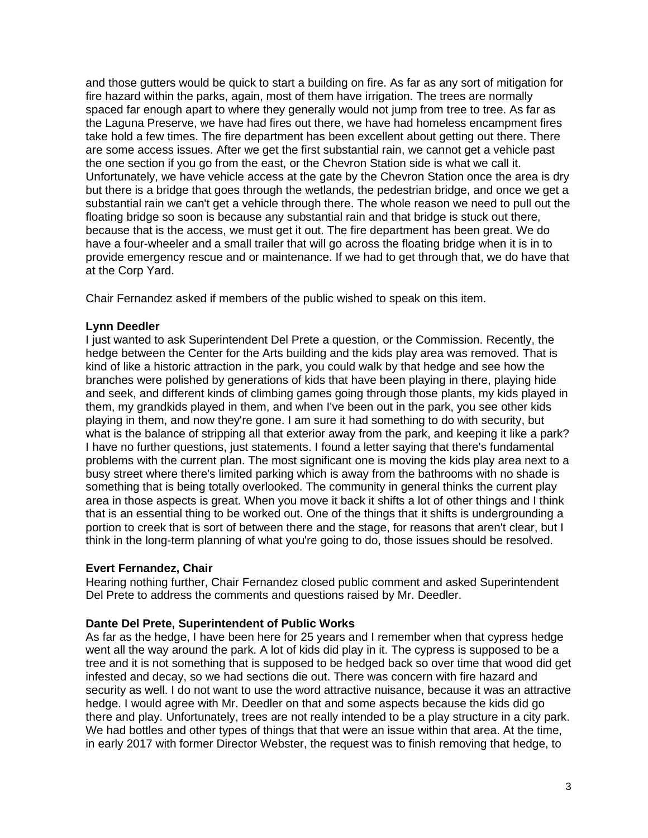and those gutters would be quick to start a building on fire. As far as any sort of mitigation for fire hazard within the parks, again, most of them have irrigation. The trees are normally spaced far enough apart to where they generally would not jump from tree to tree. As far as the Laguna Preserve, we have had fires out there, we have had homeless encampment fires take hold a few times. The fire department has been excellent about getting out there. There are some access issues. After we get the first substantial rain, we cannot get a vehicle past the one section if you go from the east, or the Chevron Station side is what we call it. Unfortunately, we have vehicle access at the gate by the Chevron Station once the area is dry but there is a bridge that goes through the wetlands, the pedestrian bridge, and once we get a substantial rain we can't get a vehicle through there. The whole reason we need to pull out the floating bridge so soon is because any substantial rain and that bridge is stuck out there, because that is the access, we must get it out. The fire department has been great. We do have a four-wheeler and a small trailer that will go across the floating bridge when it is in to provide emergency rescue and or maintenance. If we had to get through that, we do have that at the Corp Yard.

Chair Fernandez asked if members of the public wished to speak on this item.

# **Lynn Deedler**

I just wanted to ask Superintendent Del Prete a question, or the Commission. Recently, the hedge between the Center for the Arts building and the kids play area was removed. That is kind of like a historic attraction in the park, you could walk by that hedge and see how the branches were polished by generations of kids that have been playing in there, playing hide and seek, and different kinds of climbing games going through those plants, my kids played in them, my grandkids played in them, and when I've been out in the park, you see other kids playing in them, and now they're gone. I am sure it had something to do with security, but what is the balance of stripping all that exterior away from the park, and keeping it like a park? I have no further questions, just statements. I found a letter saying that there's fundamental problems with the current plan. The most significant one is moving the kids play area next to a busy street where there's limited parking which is away from the bathrooms with no shade is something that is being totally overlooked. The community in general thinks the current play area in those aspects is great. When you move it back it shifts a lot of other things and I think that is an essential thing to be worked out. One of the things that it shifts is undergrounding a portion to creek that is sort of between there and the stage, for reasons that aren't clear, but I think in the long-term planning of what you're going to do, those issues should be resolved.

# **Evert Fernandez, Chair**

Hearing nothing further, Chair Fernandez closed public comment and asked Superintendent Del Prete to address the comments and questions raised by Mr. Deedler.

# **Dante Del Prete, Superintendent of Public Works**

As far as the hedge, I have been here for 25 years and I remember when that cypress hedge went all the way around the park. A lot of kids did play in it. The cypress is supposed to be a tree and it is not something that is supposed to be hedged back so over time that wood did get infested and decay, so we had sections die out. There was concern with fire hazard and security as well. I do not want to use the word attractive nuisance, because it was an attractive hedge. I would agree with Mr. Deedler on that and some aspects because the kids did go there and play. Unfortunately, trees are not really intended to be a play structure in a city park. We had bottles and other types of things that that were an issue within that area. At the time, in early 2017 with former Director Webster, the request was to finish removing that hedge, to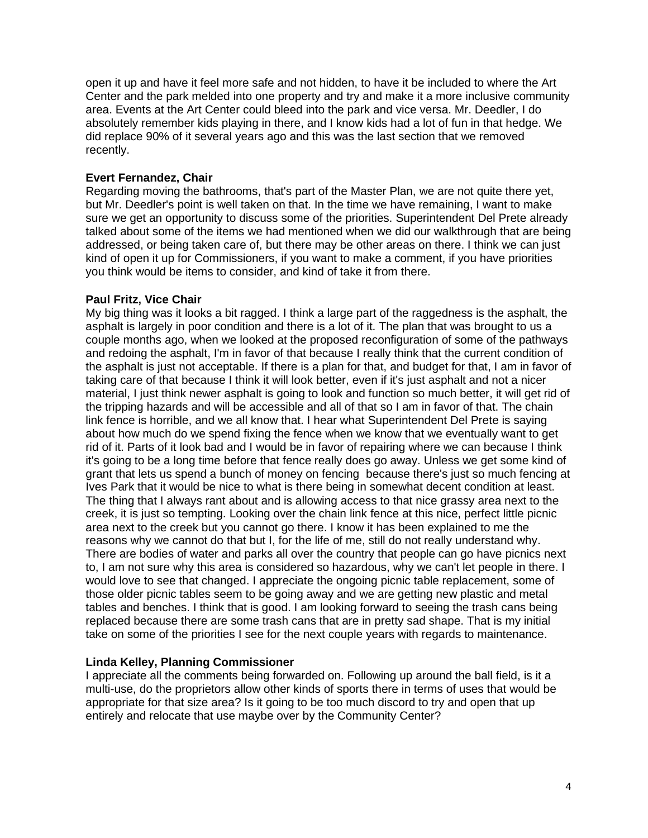open it up and have it feel more safe and not hidden, to have it be included to where the Art Center and the park melded into one property and try and make it a more inclusive community area. Events at the Art Center could bleed into the park and vice versa. Mr. Deedler, I do absolutely remember kids playing in there, and I know kids had a lot of fun in that hedge. We did replace 90% of it several years ago and this was the last section that we removed recently.

# **Evert Fernandez, Chair**

Regarding moving the bathrooms, that's part of the Master Plan, we are not quite there yet, but Mr. Deedler's point is well taken on that. In the time we have remaining, I want to make sure we get an opportunity to discuss some of the priorities. Superintendent Del Prete already talked about some of the items we had mentioned when we did our walkthrough that are being addressed, or being taken care of, but there may be other areas on there. I think we can just kind of open it up for Commissioners, if you want to make a comment, if you have priorities you think would be items to consider, and kind of take it from there.

## **Paul Fritz, Vice Chair**

My big thing was it looks a bit ragged. I think a large part of the raggedness is the asphalt, the asphalt is largely in poor condition and there is a lot of it. The plan that was brought to us a couple months ago, when we looked at the proposed reconfiguration of some of the pathways and redoing the asphalt, I'm in favor of that because I really think that the current condition of the asphalt is just not acceptable. If there is a plan for that, and budget for that, I am in favor of taking care of that because I think it will look better, even if it's just asphalt and not a nicer material, I just think newer asphalt is going to look and function so much better, it will get rid of the tripping hazards and will be accessible and all of that so I am in favor of that. The chain link fence is horrible, and we all know that. I hear what Superintendent Del Prete is saying about how much do we spend fixing the fence when we know that we eventually want to get rid of it. Parts of it look bad and I would be in favor of repairing where we can because I think it's going to be a long time before that fence really does go away. Unless we get some kind of grant that lets us spend a bunch of money on fencing because there's just so much fencing at Ives Park that it would be nice to what is there being in somewhat decent condition at least. The thing that I always rant about and is allowing access to that nice grassy area next to the creek, it is just so tempting. Looking over the chain link fence at this nice, perfect little picnic area next to the creek but you cannot go there. I know it has been explained to me the reasons why we cannot do that but I, for the life of me, still do not really understand why. There are bodies of water and parks all over the country that people can go have picnics next to, I am not sure why this area is considered so hazardous, why we can't let people in there. I would love to see that changed. I appreciate the ongoing picnic table replacement, some of those older picnic tables seem to be going away and we are getting new plastic and metal tables and benches. I think that is good. I am looking forward to seeing the trash cans being replaced because there are some trash cans that are in pretty sad shape. That is my initial take on some of the priorities I see for the next couple years with regards to maintenance.

# **Linda Kelley, Planning Commissioner**

I appreciate all the comments being forwarded on. Following up around the ball field, is it a multi-use, do the proprietors allow other kinds of sports there in terms of uses that would be appropriate for that size area? Is it going to be too much discord to try and open that up entirely and relocate that use maybe over by the Community Center?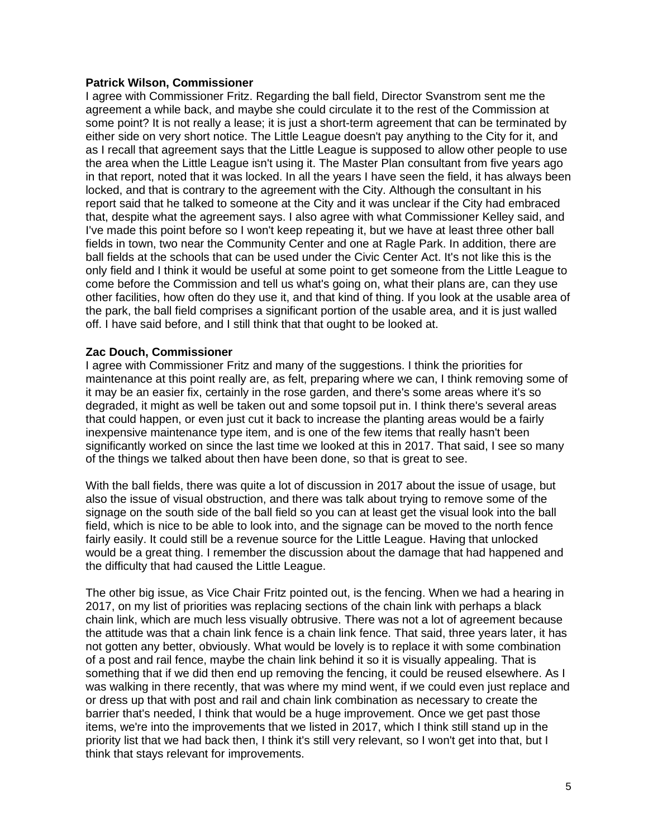## **Patrick Wilson, Commissioner**

I agree with Commissioner Fritz. Regarding the ball field, Director Svanstrom sent me the agreement a while back, and maybe she could circulate it to the rest of the Commission at some point? It is not really a lease; it is just a short-term agreement that can be terminated by either side on very short notice. The Little League doesn't pay anything to the City for it, and as I recall that agreement says that the Little League is supposed to allow other people to use the area when the Little League isn't using it. The Master Plan consultant from five years ago in that report, noted that it was locked. In all the years I have seen the field, it has always been locked, and that is contrary to the agreement with the City. Although the consultant in his report said that he talked to someone at the City and it was unclear if the City had embraced that, despite what the agreement says. I also agree with what Commissioner Kelley said, and I've made this point before so I won't keep repeating it, but we have at least three other ball fields in town, two near the Community Center and one at Ragle Park. In addition, there are ball fields at the schools that can be used under the Civic Center Act. It's not like this is the only field and I think it would be useful at some point to get someone from the Little League to come before the Commission and tell us what's going on, what their plans are, can they use other facilities, how often do they use it, and that kind of thing. If you look at the usable area of the park, the ball field comprises a significant portion of the usable area, and it is just walled off. I have said before, and I still think that that ought to be looked at.

## **Zac Douch, Commissioner**

I agree with Commissioner Fritz and many of the suggestions. I think the priorities for maintenance at this point really are, as felt, preparing where we can, I think removing some of it may be an easier fix, certainly in the rose garden, and there's some areas where it's so degraded, it might as well be taken out and some topsoil put in. I think there's several areas that could happen, or even just cut it back to increase the planting areas would be a fairly inexpensive maintenance type item, and is one of the few items that really hasn't been significantly worked on since the last time we looked at this in 2017. That said, I see so many of the things we talked about then have been done, so that is great to see.

With the ball fields, there was quite a lot of discussion in 2017 about the issue of usage, but also the issue of visual obstruction, and there was talk about trying to remove some of the signage on the south side of the ball field so you can at least get the visual look into the ball field, which is nice to be able to look into, and the signage can be moved to the north fence fairly easily. It could still be a revenue source for the Little League. Having that unlocked would be a great thing. I remember the discussion about the damage that had happened and the difficulty that had caused the Little League.

The other big issue, as Vice Chair Fritz pointed out, is the fencing. When we had a hearing in 2017, on my list of priorities was replacing sections of the chain link with perhaps a black chain link, which are much less visually obtrusive. There was not a lot of agreement because the attitude was that a chain link fence is a chain link fence. That said, three years later, it has not gotten any better, obviously. What would be lovely is to replace it with some combination of a post and rail fence, maybe the chain link behind it so it is visually appealing. That is something that if we did then end up removing the fencing, it could be reused elsewhere. As I was walking in there recently, that was where my mind went, if we could even just replace and or dress up that with post and rail and chain link combination as necessary to create the barrier that's needed, I think that would be a huge improvement. Once we get past those items, we're into the improvements that we listed in 2017, which I think still stand up in the priority list that we had back then, I think it's still very relevant, so I won't get into that, but I think that stays relevant for improvements.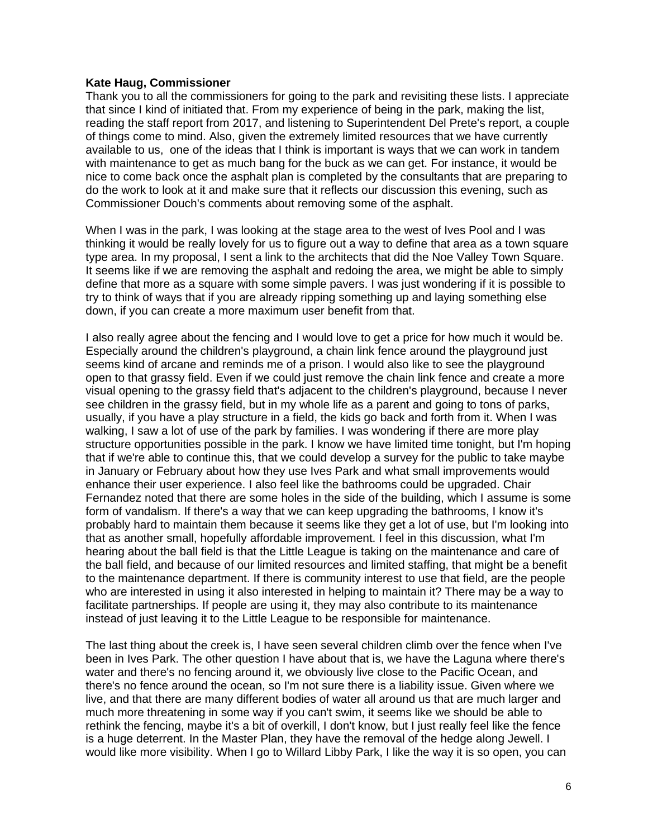### **Kate Haug, Commissioner**

Thank you to all the commissioners for going to the park and revisiting these lists. I appreciate that since I kind of initiated that. From my experience of being in the park, making the list, reading the staff report from 2017, and listening to Superintendent Del Prete's report, a couple of things come to mind. Also, given the extremely limited resources that we have currently available to us, one of the ideas that I think is important is ways that we can work in tandem with maintenance to get as much bang for the buck as we can get. For instance, it would be nice to come back once the asphalt plan is completed by the consultants that are preparing to do the work to look at it and make sure that it reflects our discussion this evening, such as Commissioner Douch's comments about removing some of the asphalt.

When I was in the park, I was looking at the stage area to the west of Ives Pool and I was thinking it would be really lovely for us to figure out a way to define that area as a town square type area. In my proposal, I sent a link to the architects that did the Noe Valley Town Square. It seems like if we are removing the asphalt and redoing the area, we might be able to simply define that more as a square with some simple pavers. I was just wondering if it is possible to try to think of ways that if you are already ripping something up and laying something else down, if you can create a more maximum user benefit from that.

I also really agree about the fencing and I would love to get a price for how much it would be. Especially around the children's playground, a chain link fence around the playground just seems kind of arcane and reminds me of a prison. I would also like to see the playground open to that grassy field. Even if we could just remove the chain link fence and create a more visual opening to the grassy field that's adjacent to the children's playground, because I never see children in the grassy field, but in my whole life as a parent and going to tons of parks, usually, if you have a play structure in a field, the kids go back and forth from it. When I was walking, I saw a lot of use of the park by families. I was wondering if there are more play structure opportunities possible in the park. I know we have limited time tonight, but I'm hoping that if we're able to continue this, that we could develop a survey for the public to take maybe in January or February about how they use Ives Park and what small improvements would enhance their user experience. I also feel like the bathrooms could be upgraded. Chair Fernandez noted that there are some holes in the side of the building, which I assume is some form of vandalism. If there's a way that we can keep upgrading the bathrooms, I know it's probably hard to maintain them because it seems like they get a lot of use, but I'm looking into that as another small, hopefully affordable improvement. I feel in this discussion, what I'm hearing about the ball field is that the Little League is taking on the maintenance and care of the ball field, and because of our limited resources and limited staffing, that might be a benefit to the maintenance department. If there is community interest to use that field, are the people who are interested in using it also interested in helping to maintain it? There may be a way to facilitate partnerships. If people are using it, they may also contribute to its maintenance instead of just leaving it to the Little League to be responsible for maintenance.

The last thing about the creek is, I have seen several children climb over the fence when I've been in Ives Park. The other question I have about that is, we have the Laguna where there's water and there's no fencing around it, we obviously live close to the Pacific Ocean, and there's no fence around the ocean, so I'm not sure there is a liability issue. Given where we live, and that there are many different bodies of water all around us that are much larger and much more threatening in some way if you can't swim, it seems like we should be able to rethink the fencing, maybe it's a bit of overkill, I don't know, but I just really feel like the fence is a huge deterrent. In the Master Plan, they have the removal of the hedge along Jewell. I would like more visibility. When I go to Willard Libby Park, I like the way it is so open, you can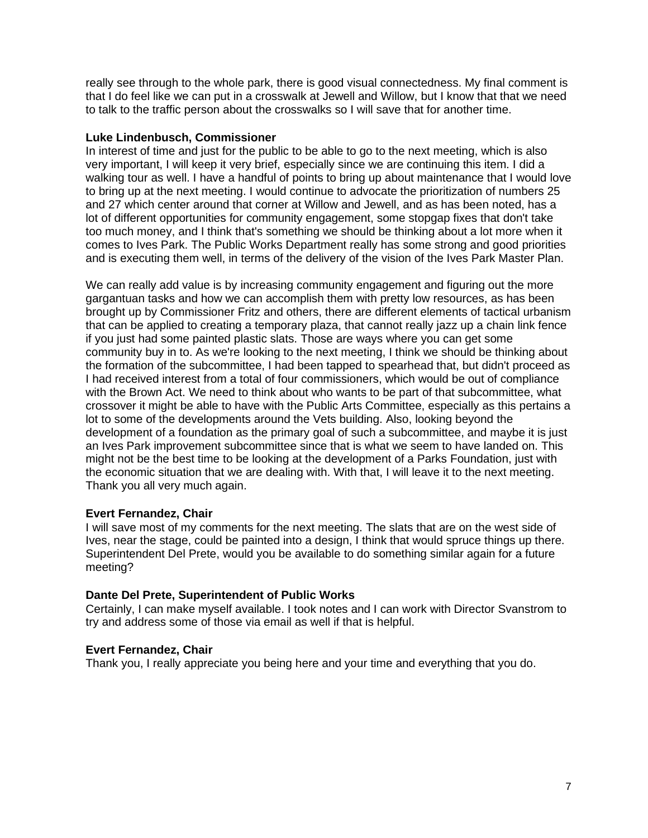really see through to the whole park, there is good visual connectedness. My final comment is that I do feel like we can put in a crosswalk at Jewell and Willow, but I know that that we need to talk to the traffic person about the crosswalks so I will save that for another time.

## **Luke Lindenbusch, Commissioner**

In interest of time and just for the public to be able to go to the next meeting, which is also very important, I will keep it very brief, especially since we are continuing this item. I did a walking tour as well. I have a handful of points to bring up about maintenance that I would love to bring up at the next meeting. I would continue to advocate the prioritization of numbers 25 and 27 which center around that corner at Willow and Jewell, and as has been noted, has a lot of different opportunities for community engagement, some stopgap fixes that don't take too much money, and I think that's something we should be thinking about a lot more when it comes to Ives Park. The Public Works Department really has some strong and good priorities and is executing them well, in terms of the delivery of the vision of the Ives Park Master Plan.

We can really add value is by increasing community engagement and figuring out the more gargantuan tasks and how we can accomplish them with pretty low resources, as has been brought up by Commissioner Fritz and others, there are different elements of tactical urbanism that can be applied to creating a temporary plaza, that cannot really jazz up a chain link fence if you just had some painted plastic slats. Those are ways where you can get some community buy in to. As we're looking to the next meeting, I think we should be thinking about the formation of the subcommittee, I had been tapped to spearhead that, but didn't proceed as I had received interest from a total of four commissioners, which would be out of compliance with the Brown Act. We need to think about who wants to be part of that subcommittee, what crossover it might be able to have with the Public Arts Committee, especially as this pertains a lot to some of the developments around the Vets building. Also, looking beyond the development of a foundation as the primary goal of such a subcommittee, and maybe it is just an Ives Park improvement subcommittee since that is what we seem to have landed on. This might not be the best time to be looking at the development of a Parks Foundation, just with the economic situation that we are dealing with. With that, I will leave it to the next meeting. Thank you all very much again.

# **Evert Fernandez, Chair**

I will save most of my comments for the next meeting. The slats that are on the west side of Ives, near the stage, could be painted into a design, I think that would spruce things up there. Superintendent Del Prete, would you be available to do something similar again for a future meeting?

### **Dante Del Prete, Superintendent of Public Works**

Certainly, I can make myself available. I took notes and I can work with Director Svanstrom to try and address some of those via email as well if that is helpful.

### **Evert Fernandez, Chair**

Thank you, I really appreciate you being here and your time and everything that you do.